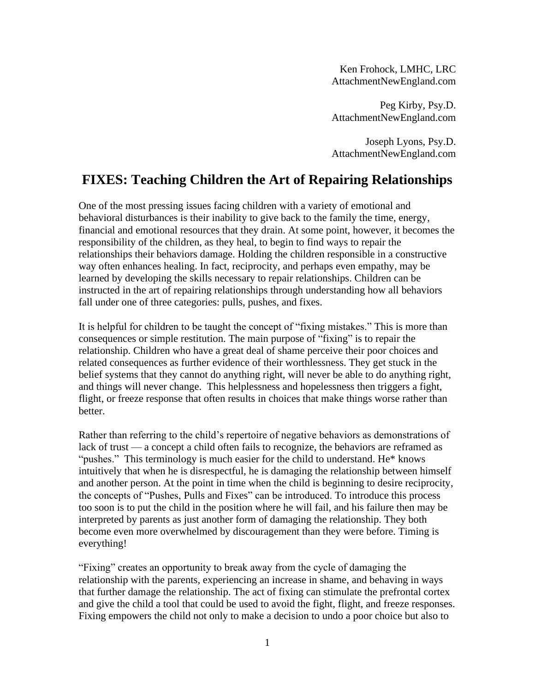Ken Frohock, LMHC, LRC AttachmentNewEngland.com

Peg Kirby, Psy.D. AttachmentNewEngland.com

Joseph Lyons, Psy.D. AttachmentNewEngland.com

# **FIXES: Teaching Children the Art of Repairing Relationships**

One of the most pressing issues facing children with a variety of emotional and behavioral disturbances is their inability to give back to the family the time, energy, financial and emotional resources that they drain. At some point, however, it becomes the responsibility of the children, as they heal, to begin to find ways to repair the relationships their behaviors damage. Holding the children responsible in a constructive way often enhances healing. In fact, reciprocity, and perhaps even empathy, may be learned by developing the skills necessary to repair relationships. Children can be instructed in the art of repairing relationships through understanding how all behaviors fall under one of three categories: pulls, pushes, and fixes.

It is helpful for children to be taught the concept of "fixing mistakes." This is more than consequences or simple restitution. The main purpose of "fixing" is to repair the relationship. Children who have a great deal of shame perceive their poor choices and related consequences as further evidence of their worthlessness. They get stuck in the belief systems that they cannot do anything right, will never be able to do anything right, and things will never change. This helplessness and hopelessness then triggers a fight, flight, or freeze response that often results in choices that make things worse rather than better.

Rather than referring to the child's repertoire of negative behaviors as demonstrations of lack of trust — a concept a child often fails to recognize, the behaviors are reframed as "pushes." This terminology is much easier for the child to understand. He\* knows intuitively that when he is disrespectful, he is damaging the relationship between himself and another person. At the point in time when the child is beginning to desire reciprocity, the concepts of "Pushes, Pulls and Fixes" can be introduced. To introduce this process too soon is to put the child in the position where he will fail, and his failure then may be interpreted by parents as just another form of damaging the relationship. They both become even more overwhelmed by discouragement than they were before. Timing is everything!

"Fixing" creates an opportunity to break away from the cycle of damaging the relationship with the parents, experiencing an increase in shame, and behaving in ways that further damage the relationship. The act of fixing can stimulate the prefrontal cortex and give the child a tool that could be used to avoid the fight, flight, and freeze responses. Fixing empowers the child not only to make a decision to undo a poor choice but also to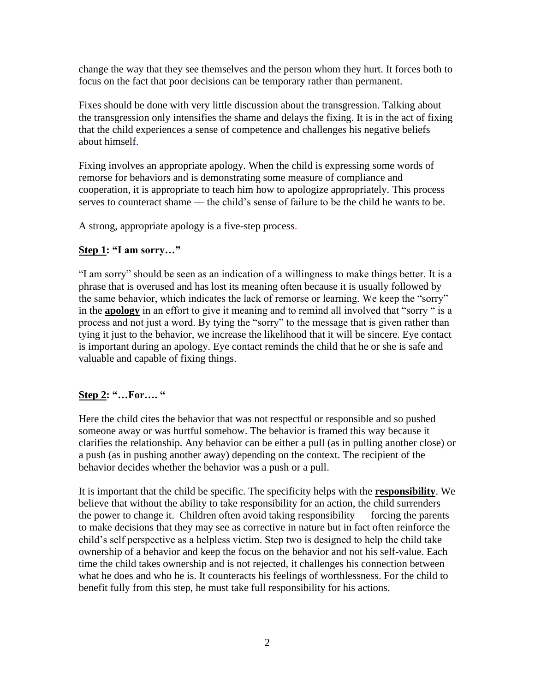change the way that they see themselves and the person whom they hurt. It forces both to focus on the fact that poor decisions can be temporary rather than permanent.

Fixes should be done with very little discussion about the transgression. Talking about the transgression only intensifies the shame and delays the fixing. It is in the act of fixing that the child experiences a sense of competence and challenge*s* his negative beliefs about himself.

Fixing involves an appropriate apology. When the child is expressing some words of remorse for behaviors and is demonstrating some measure of compliance and cooperation, it is appropriate to teach him how to apologize appropriately. This process serves to counteract shame — the child's sense of failure to be the child he wants to be.

A strong, appropriate apology is a five-step process.

#### **Step 1: "I am sorry…"**

"I am sorry" should be seen as an indication of a willingness to make things better. It is a phrase that is overused and has lost its meaning often because it is usually followed by the same behavior, which indicates the lack of remorse or learning. We keep the "sorry" in the **apology** in an effort to give it meaning and to remind all involved that "sorry " is a process and not just a word. By tying the "sorry" to the message that is given rather than tying it just to the behavior, we increase the likelihood that it will be sincere. Eye contact is important during an apology. Eye contact reminds the child that he or she is safe and valuable and capable of fixing things.

## **Step 2: "…For…. "**

Here the child cites the behavior that was not respectful or responsible and so pushed someone away or was hurtful somehow. The behavior is framed this way because it clarifies the relationship. Any behavior can be either a pull (as in pulling another close) or a push (as in pushing another away) depending on the context. The recipient of the behavior decides whether the behavior was a push or a pull.

It is important that the child be specific. The specificity helps with the **responsibility**. We believe that without the ability to take responsibility for an action, the child surrenders the power to change it. Children often avoid taking responsibility — forcing the parents to make decisions that they may see as corrective in nature but in fact often reinforce the child's self perspective as a helpless victim. Step two is designed to help the child take ownership of a behavior and keep the focus on the behavior and not his self-value. Each time the child takes ownership and is not rejected, it challenges his connection between what he does and who he is. It counteracts his feelings of worthlessness. For the child to benefit fully from this step, he must take full responsibility for his actions.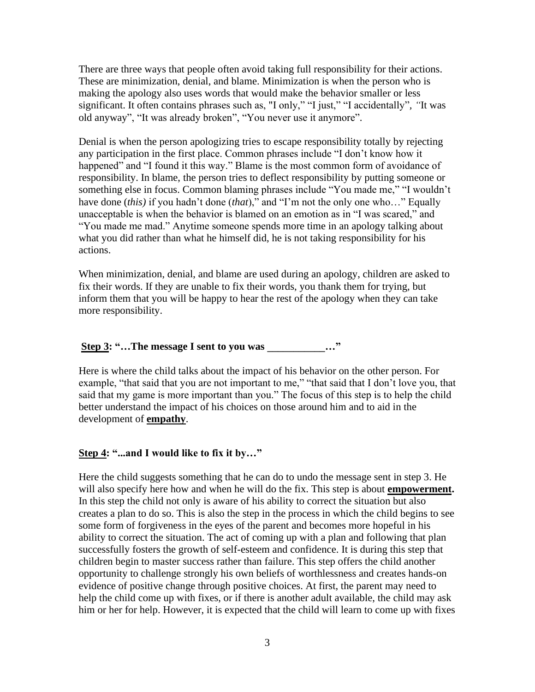There are three ways that people often avoid taking full responsibility for their actions. These are minimization, denial, and blame. Minimization is when the person who is making the apology also uses words that would make the behavior smaller or less significant. It often contains phrases such as, "I only," "I just," "I accidentally"*, "*It was old anyway", "It was already broken", "You never use it anymore".

Denial is when the person apologizing tries to escape responsibility totally by rejecting any participation in the first place. Common phrases include "I don't know how it happened" and "I found it this way." Blame is the most common form of avoidance of responsibility. In blame, the person tries to deflect responsibility by putting someone or something else in focus. Common blaming phrases include "You made me," "I wouldn't have done (*this)* if you hadn't done (*that*)," and "I'm not the only one who…" Equally unacceptable is when the behavior is blamed on an emotion as in "I was scared," and "You made me mad." Anytime someone spends more time in an apology talking about what you did rather than what he himself did, he is not taking responsibility for his actions.

When minimization, denial, and blame are used during an apology, children are asked to fix their words. If they are unable to fix their words, you thank them for trying, but inform them that you will be happy to hear the rest of the apology when they can take more responsibility.

#### **Step 3: "...The message I sent to you was**  $\cdots$ **"**

Here is where the child talks about the impact of his behavior on the other person. For example, "that said that you are not important to me," "that said that I don't love you, that said that my game is more important than you." The focus of this step is to help the child better understand the impact of his choices on those around him and to aid in the development of **empathy**.

#### **Step 4: "...and I would like to fix it by…"**

Here the child suggests something that he can do to undo the message sent in step 3. He will also specify here how and when he will do the fix. This step is about **empowerment.** In this step the child not only is aware of his ability to correct the situation but also creates a plan to do so. This is also the step in the process in which the child begins to see some form of forgiveness in the eyes of the parent and becomes more hopeful in his ability to correct the situation. The act of coming up with a plan and following that plan successfully fosters the growth of self-esteem and confidence. It is during this step that children begin to master success rather than failure. This step offers the child another opportunity to challenge strongly his own beliefs of worthlessness and creates hands-on evidence of positive change through positive choices. At first, the parent may need to help the child come up with fixes, or if there is another adult available, the child may ask him or her for help. However, it is expected that the child will learn to come up with fixes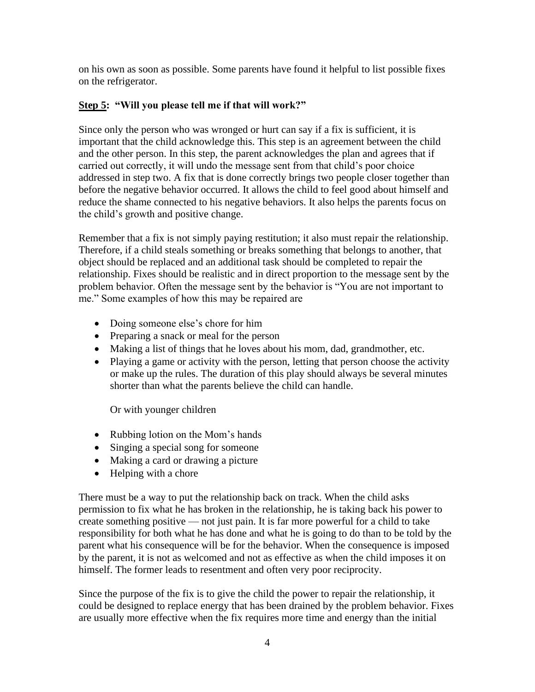on his own as soon as possible. Some parents have found it helpful to list possible fixes on the refrigerator.

### **Step 5: "Will you please tell me if that will work?"**

Since only the person who was wronged or hurt can say if a fix is sufficient, it is important that the child acknowledge this. This step is an agreement between the child and the other person. In this step, the parent acknowledges the plan and agrees that if carried out correctly, it will undo the message sent from that child's poor choice addressed in step two. A fix that is done correctly brings two people closer together than before the negative behavior occurred. It allows the child to feel good about himself and reduce the shame connected to his negative behaviors. It also helps the parents focus on the child's growth and positive change.

Remember that a fix is not simply paying restitution; it also must repair the relationship. Therefore, if a child steals something or breaks something that belongs to another, that object should be replaced and an additional task should be completed to repair the relationship. Fixes should be realistic and in direct proportion to the message sent by the problem behavior. Often the message sent by the behavior is "You are not important to me." Some examples of how this may be repaired are

- Doing someone else's chore for him
- Preparing a snack or meal for the person
- Making a list of things that he loves about his mom, dad, grandmother, etc.
- Playing a game or activity with the person, letting that person choose the activity or make up the rules. The duration of this play should always be several minutes shorter than what the parents believe the child can handle.

Or with younger children

- Rubbing lotion on the Mom's hands
- Singing a special song for someone
- Making a card or drawing a picture
- Helping with a chore

There must be a way to put the relationship back on track. When the child asks permission to fix what he has broken in the relationship, he is taking back his power to create something positive — not just pain. It is far more powerful for a child to take responsibility for both what he has done and what he is going to do than to be told by the parent what his consequence will be for the behavior. When the consequence is imposed by the parent, it is not as welcomed and not as effective as when the child imposes it on himself. The former leads to resentment and often very poor reciprocity.

Since the purpose of the fix is to give the child the power to repair the relationship, it could be designed to replace energy that has been drained by the problem behavior. Fixes are usually more effective when the fix requires more time and energy than the initial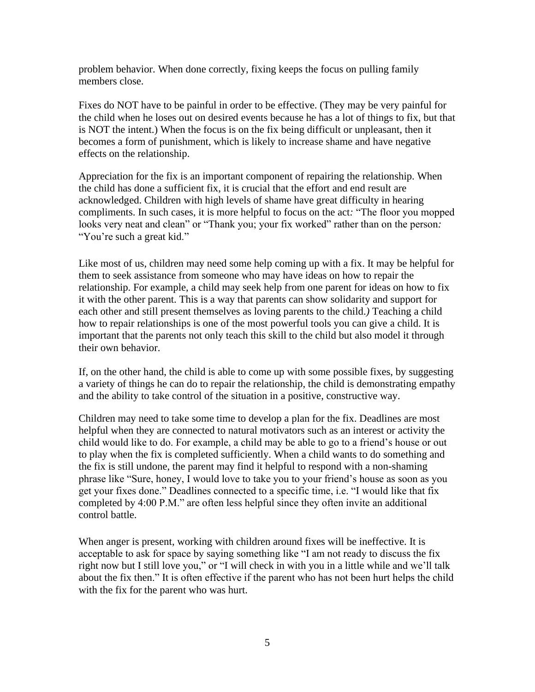problem behavior. When done correctly, fixing keeps the focus on pulling family members close.

Fixes do NOT have to be painful in order to be effective. (They may be very painful for the child when he loses out on desired events because he has a lot of things to fix, but that is NOT the intent.) When the focus is on the fix being difficult or unpleasant, then it becomes a form of punishment, which is likely to increase shame and have negative effects on the relationship.

Appreciation for the fix is an important component of repairing the relationship. When the child has done a sufficient fix, it is crucial that the effort and end result are acknowledged. Children with high levels of shame have great difficulty in hearing compliments. In such cases, it is more helpful to focus on the act*:* "The floor you mopped looks very neat and clean" or "Thank you; your fix worked" rather than on the person: "You're such a great kid."

Like most of us, children may need some help coming up with a fix. It may be helpful for them to seek assistance from someone who may have ideas on how to repair the relationship. For example, a child may seek help from one parent for ideas on how to fix it with the other parent. This is a way that parents can show solidarity and support for each other and still present themselves as loving parents to the child.*)* Teaching a child how to repair relationships is one of the most powerful tools you can give a child. It is important that the parents not only teach this skill to the child but also model it through their own behavior.

If, on the other hand, the child is able to come up with some possible fixes, by suggesting a variety of things he can do to repair the relationship, the child is demonstrating empathy and the ability to take control of the situation in a positive, constructive way.

Children may need to take some time to develop a plan for the fix. Deadlines are most helpful when they are connected to natural motivators such as an interest or activity the child would like to do. For example, a child may be able to go to a friend's house or out to play when the fix is completed sufficiently. When a child wants to do something and the fix is still undone, the parent may find it helpful to respond with a non-shaming phrase like "Sure, honey, I would love to take you to your friend's house as soon as you get your fixes done." Deadlines connected to a specific time, i.e. "I would like that fix completed by 4:00 P.M." are often less helpful since they often invite an additional control battle.

When anger is present, working with children around fixes will be ineffective. It is acceptable to ask for space by saying something like "I am not ready to discuss the fix right now but I still love you," or "I will check in with you in a little while and we'll talk about the fix then." It is often effective if the parent who has not been hurt helps the child with the fix for the parent who was hurt.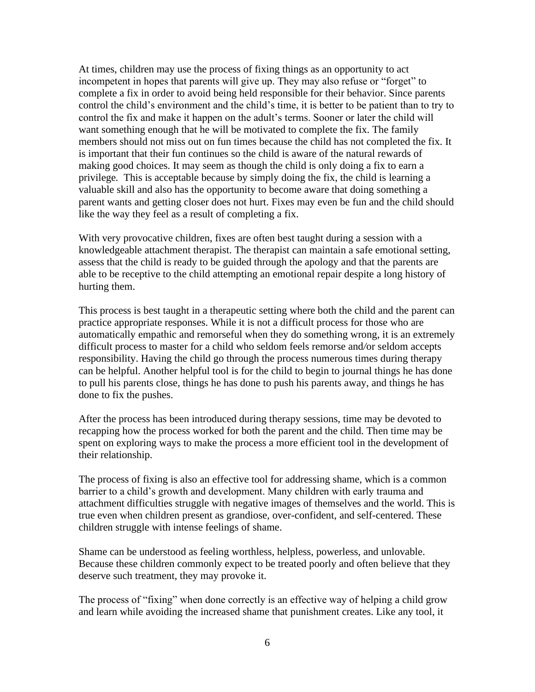At times, children may use the process of fixing things as an opportunity to act incompetent in hopes that parents will give up. They may also refuse or "forget" to complete a fix in order to avoid being held responsible for their behavior. Since parents control the child's environment and the child's time, it is better to be patient than to try to control the fix and make it happen on the adult's terms. Sooner or later the child will want something enough that he will be motivated to complete the fix. The family members should not miss out on fun times because the child has not completed the fix. It is important that their fun continues so the child is aware of the natural rewards of making good choices. It may seem as though the child is only doing a fix to earn a privilege*.* This is acceptable because by simply doing the fix, the child is learning a valuable skill and also has the opportunity to become aware that doing something a parent wants and getting closer does not hurt. Fixes may even be fun and the child should like the way they feel as a result of completing a fix.

With very provocative children, fixes are often best taught during a session with a knowledgeable attachment therapist. The therapist can maintain a safe emotional setting, assess that the child is ready to be guided through the apology and that the parents are able to be receptive to the child attempting an emotional repair despite a long history of hurting them.

This process is best taught in a therapeutic setting where both the child and the parent can practice appropriate responses. While it is not a difficult process for those who are automatically empathic and remorseful when they do something wrong, it is an extremely difficult process to master for a child who seldom feels remorse and*/*or seldom accepts responsibility. Having the child go through the process numerous times during therapy can be helpful. Another helpful tool is for the child to begin to journal things he has done to pull his parents close, things he has done to push his parents away, and things he has done to fix the pushes.

After the process has been introduced during therapy sessions, time may be devoted to recapping how the process worked for both the parent and the child. Then time may be spent on exploring ways to make the process a more efficient tool in the development of their relationship.

The process of fixing is also an effective tool for addressing shame, which is a common barrier to a child's growth and development. Many children with early trauma and attachment difficulties struggle with negative images of themselves and the world. This is true even when children present as grandiose, over-confident, and self-centered. These children struggle with intense feelings of shame.

Shame can be understood as feeling worthless, helpless, powerless, and unlovable. Because these children commonly expect to be treated poorly and often believe that they deserve such treatment, they may provoke it.

The process of "fixing" when done correctly is an effective way of helping a child grow and learn while avoiding the increased shame that punishment creates. Like any tool, it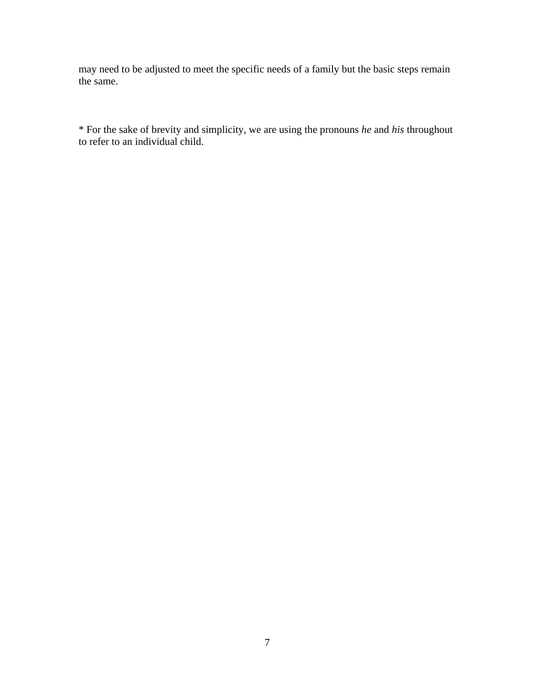may need to be adjusted to meet the specific needs of a family but the basic steps remain the same.

\* For the sake of brevity and simplicity, we are using the pronouns *he* and *his* throughout to refer to an individual child.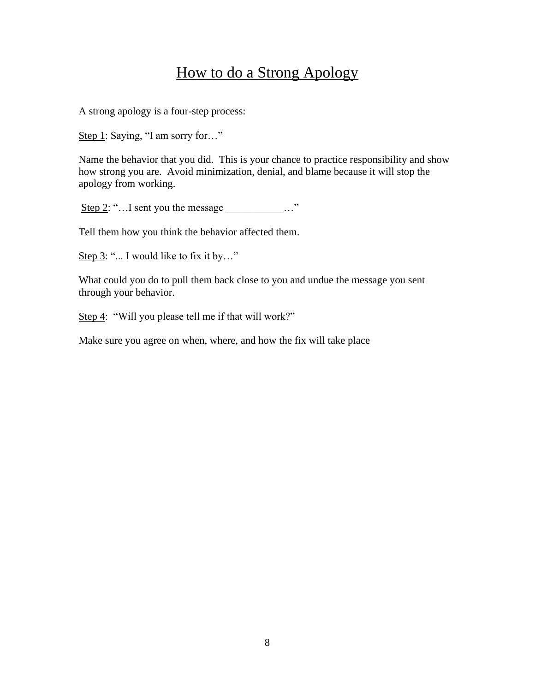# How to do a Strong Apology

A strong apology is a four-step process:

Step 1: Saying, "I am sorry for..."

Name the behavior that you did. This is your chance to practice responsibility and show how strong you are. Avoid minimization, denial, and blame because it will stop the apology from working.

Step 2: "... I sent you the message  $\cdots$ "

Tell them how you think the behavior affected them.

Step 3: "... I would like to fix it by..."

What could you do to pull them back close to you and undue the message you sent through your behavior.

Step 4: "Will you please tell me if that will work?"

Make sure you agree on when, where, and how the fix will take place